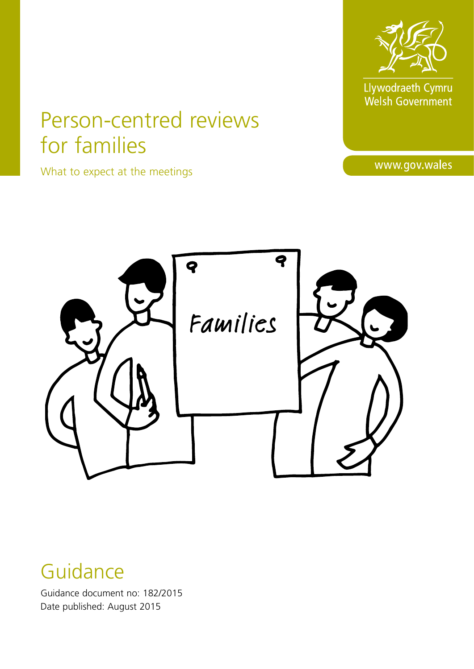

Llywodraeth Cymru<br>Welsh Government

# Person-centred reviews for families

What to expect at the meetings

www.gov.wales



## Guidance

Guidance document no: 182/2015 Date published: August 2015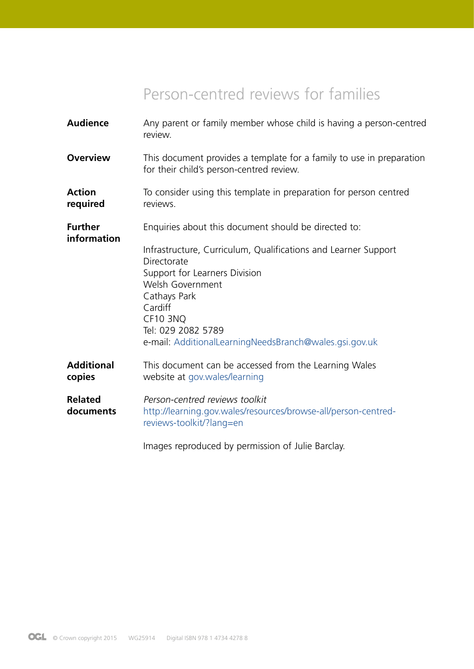### Person-centred reviews for families

| <b>Audience</b>               | Any parent or family member whose child is having a person-centred<br>review.                                                                                                                                                                                    |
|-------------------------------|------------------------------------------------------------------------------------------------------------------------------------------------------------------------------------------------------------------------------------------------------------------|
| <b>Overview</b>               | This document provides a template for a family to use in preparation<br>for their child's person-centred review.                                                                                                                                                 |
| <b>Action</b><br>required     | To consider using this template in preparation for person centred<br>reviews.                                                                                                                                                                                    |
| <b>Further</b><br>information | Enquiries about this document should be directed to:                                                                                                                                                                                                             |
|                               | Infrastructure, Curriculum, Qualifications and Learner Support<br>Directorate<br>Support for Learners Division<br>Welsh Government<br>Cathays Park<br>Cardiff<br><b>CF10 3NQ</b><br>Tel: 029 2082 5789<br>e-mail: AdditionalLearningNeedsBranch@wales.gsi.gov.uk |
| <b>Additional</b><br>copies   | This document can be accessed from the Learning Wales<br>website at gov.wales/learning                                                                                                                                                                           |
| <b>Related</b><br>documents   | Person-centred reviews toolkit<br>http://learning.gov.wales/resources/browse-all/person-centred-<br>reviews-toolkit/?lang=en                                                                                                                                     |
|                               | Images reproduced by permission of Julie Barclay.                                                                                                                                                                                                                |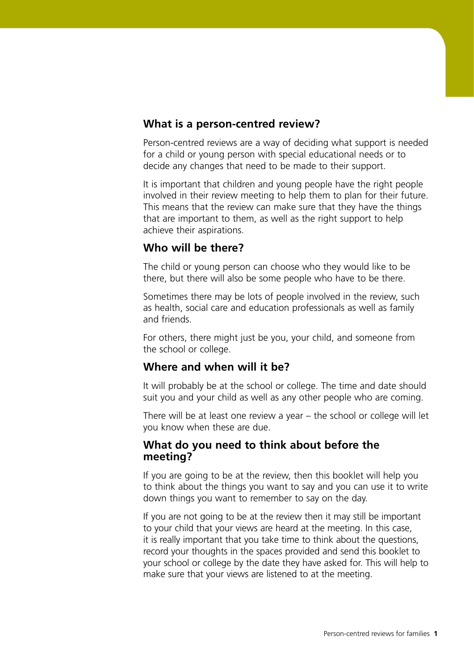#### **What is a person-centred review?**

Person-centred reviews are a way of deciding what support is needed for a child or young person with special educational needs or to decide any changes that need to be made to their support.

It is important that children and young people have the right people involved in their review meeting to help them to plan for their future. This means that the review can make sure that they have the things that are important to them, as well as the right support to help achieve their aspirations.

#### **Who will be there?**

The child or young person can choose who they would like to be there, but there will also be some people who have to be there.

Sometimes there may be lots of people involved in the review, such as health, social care and education professionals as well as family and friends.

For others, there might just be you, your child, and someone from the school or college.

#### **Where and when will it be?**

It will probably be at the school or college. The time and date should suit you and your child as well as any other people who are coming.

There will be at least one review a year – the school or college will let you know when these are due.

#### **What do you need to think about before the meeting?**

If you are going to be at the review, then this booklet will help you to think about the things you want to say and you can use it to write down things you want to remember to say on the day.

If you are not going to be at the review then it may still be important to your child that your views are heard at the meeting. In this case, it is really important that you take time to think about the questions, record your thoughts in the spaces provided and send this booklet to your school or college by the date they have asked for. This will help to make sure that your views are listened to at the meeting.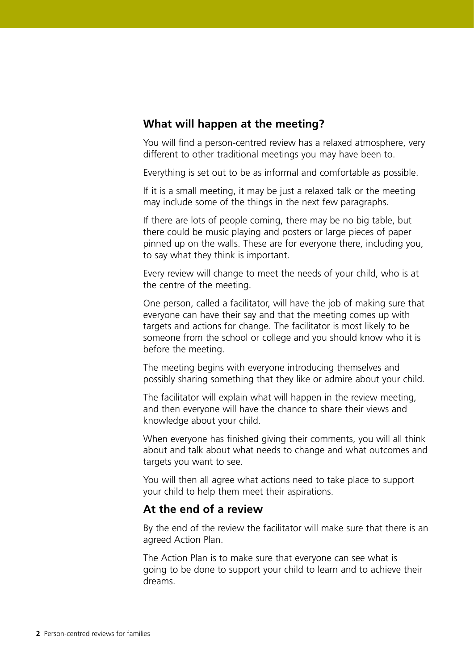#### **What will happen at the meeting?**

You will find a person-centred review has a relaxed atmosphere, very different to other traditional meetings you may have been to.

Everything is set out to be as informal and comfortable as possible.

If it is a small meeting, it may be just a relaxed talk or the meeting may include some of the things in the next few paragraphs.

If there are lots of people coming, there may be no big table, but there could be music playing and posters or large pieces of paper pinned up on the walls. These are for everyone there, including you, to say what they think is important.

Every review will change to meet the needs of your child, who is at the centre of the meeting.

One person, called a facilitator, will have the job of making sure that everyone can have their say and that the meeting comes up with targets and actions for change. The facilitator is most likely to be someone from the school or college and you should know who it is before the meeting.

The meeting begins with everyone introducing themselves and possibly sharing something that they like or admire about your child.

The facilitator will explain what will happen in the review meeting, and then everyone will have the chance to share their views and knowledge about your child.

When everyone has finished giving their comments, you will all think about and talk about what needs to change and what outcomes and targets you want to see.

You will then all agree what actions need to take place to support your child to help them meet their aspirations.

#### **At the end of a review**

By the end of the review the facilitator will make sure that there is an agreed Action Plan.

The Action Plan is to make sure that everyone can see what is going to be done to support your child to learn and to achieve their dreams.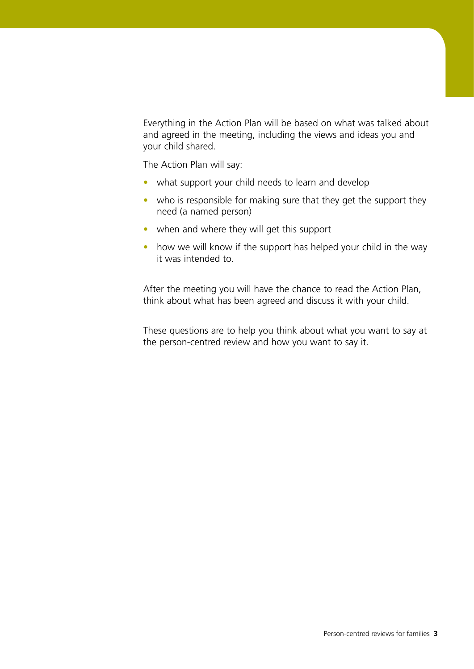Everything in the Action Plan will be based on what was talked about and agreed in the meeting, including the views and ideas you and your child shared.

The Action Plan will say:

- what support your child needs to learn and develop
- who is responsible for making sure that they get the support they need (a named person)
- when and where they will get this support
- how we will know if the support has helped your child in the way it was intended to.

After the meeting you will have the chance to read the Action Plan, think about what has been agreed and discuss it with your child.

These questions are to help you think about what you want to say at the person-centred review and how you want to say it.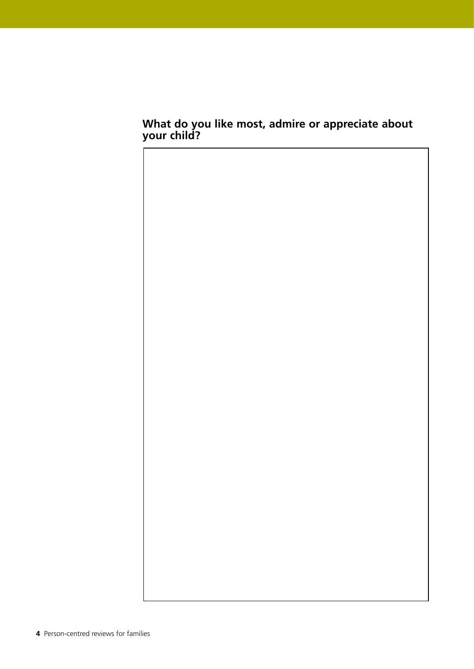#### **What do you like most, admire or appreciate about your child?**

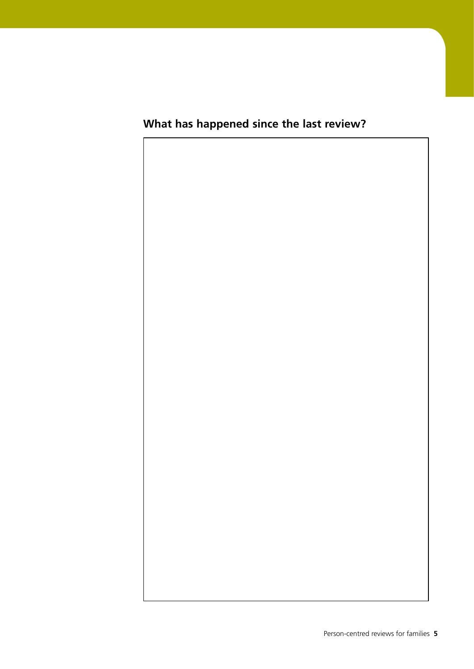### **What has happened since the last review?**

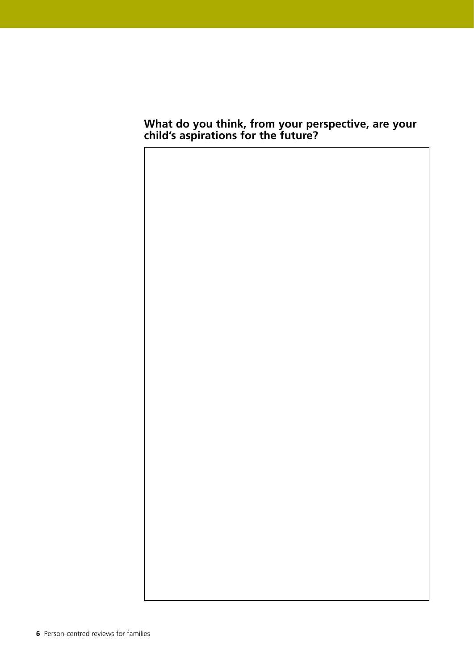#### **What do you think, from your perspective, are your child's aspirations for the future?**

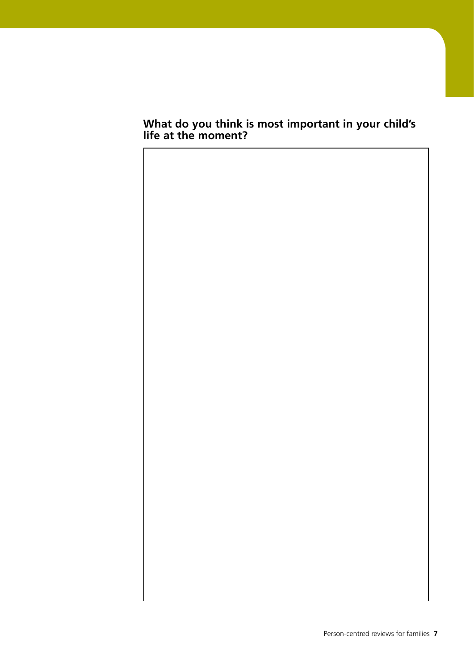#### **What do you think is most important in your child's life at the moment?**

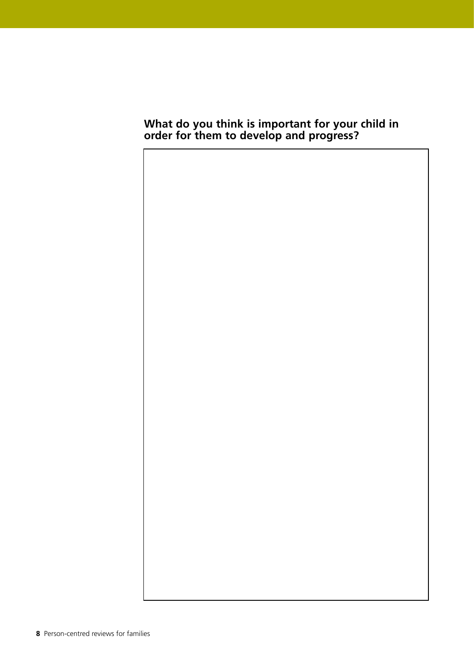#### **What do you think is important for your child in order for them to develop and progress?**

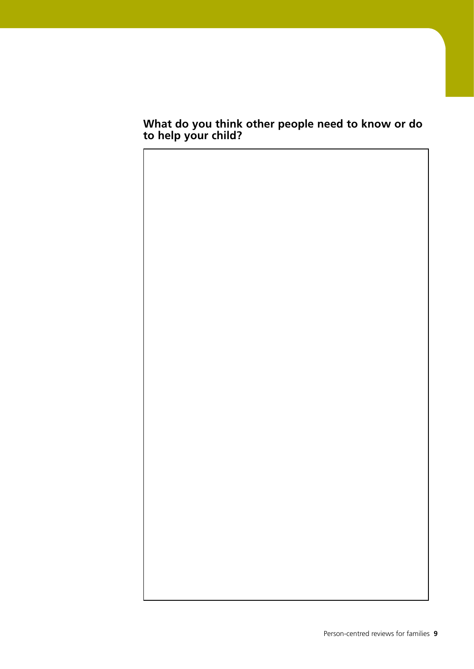#### **What do you think other people need to know or do to help your child?**

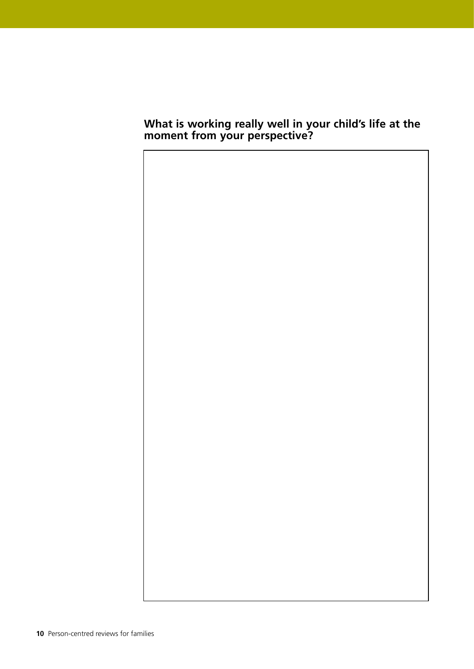#### **What is working really well in your child's life at the moment from your perspective?**

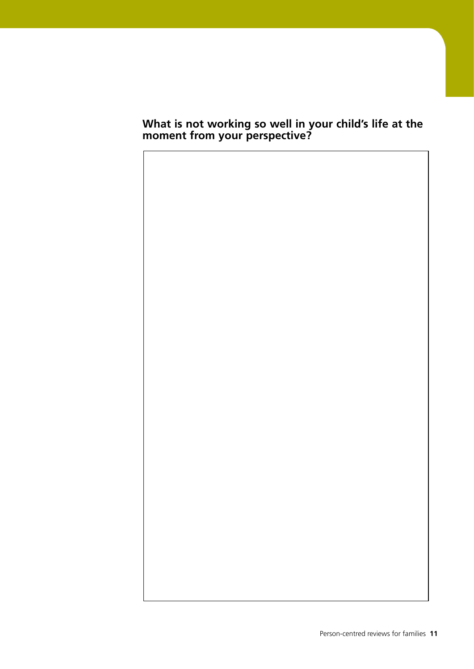#### **What is not working so well in your child's life at the moment from your perspective?**